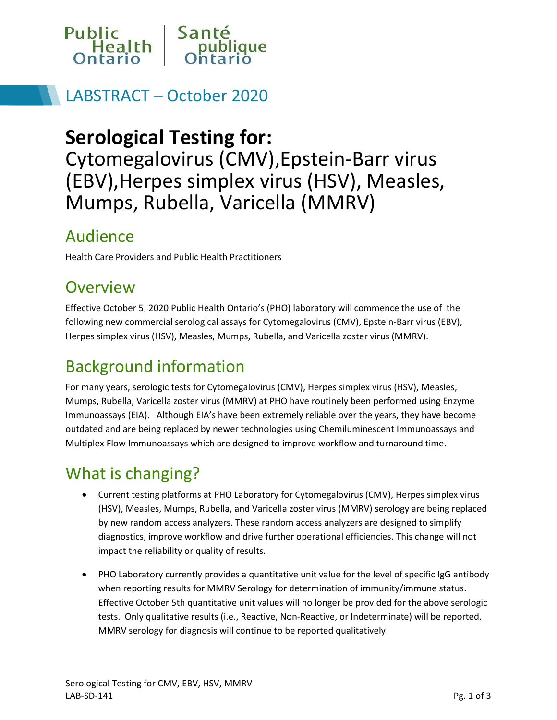

## LABSTRACT – October 2020

# **Serological Testing for:**

Cytomegalovirus (CMV),Epstein-Barr virus (EBV),Herpes simplex virus (HSV), Measles, Mumps, Rubella, Varicella (MMRV)

#### Audience

Health Care Providers and Public Health Practitioners

## **Overview**

Effective October 5, 2020 Public Health Ontario's (PHO) laboratory will commence the use of the following new commercial serological assays for Cytomegalovirus (CMV), Epstein-Barr virus (EBV), Herpes simplex virus (HSV), Measles, Mumps, Rubella, and Varicella zoster virus (MMRV).

# Background information

For many years, serologic tests for Cytomegalovirus (CMV), Herpes simplex virus (HSV), Measles, Mumps, Rubella, Varicella zoster virus (MMRV) at PHO have routinely been performed using Enzyme Immunoassays (EIA). Although EIA's have been extremely reliable over the years, they have become outdated and are being replaced by newer technologies using Chemiluminescent Immunoassays and Multiplex Flow Immunoassays which are designed to improve workflow and turnaround time.

## What is changing?

- Current testing platforms at PHO Laboratory for Cytomegalovirus (CMV), Herpes simplex virus (HSV), Measles, Mumps, Rubella, and Varicella zoster virus (MMRV) serology are being replaced by new random access analyzers. These random access analyzers are designed to simplify diagnostics, improve workflow and drive further operational efficiencies. This change will not impact the reliability or quality of results.
- PHO Laboratory currently provides a quantitative unit value for the level of specific IgG antibody when reporting results for MMRV Serology for determination of immunity/immune status. Effective October 5th quantitative unit values will no longer be provided for the above serologic tests. Only qualitative results (i.e., Reactive, Non-Reactive, or Indeterminate) will be reported. MMRV serology for diagnosis will continue to be reported qualitatively.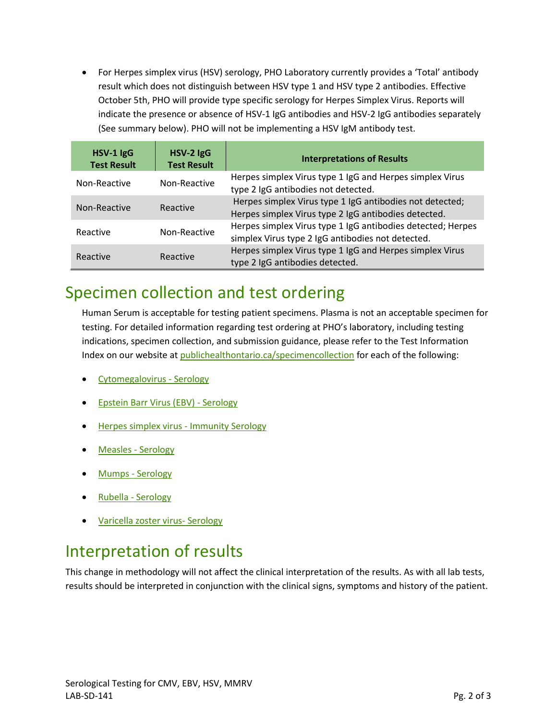For Herpes simplex virus (HSV) serology, PHO Laboratory currently provides a 'Total' antibody result which does not distinguish between HSV type 1 and HSV type 2 antibodies. Effective October 5th, PHO will provide type specific serology for Herpes Simplex Virus. Reports will indicate the presence or absence of HSV-1 IgG antibodies and HSV-2 IgG antibodies separately (See summary below). PHO will not be implementing a HSV IgM antibody test.

| HSV-1 IgG<br><b>Test Result</b> | HSV-2 IgG<br><b>Test Result</b> | <b>Interpretations of Results</b>                                                                                |
|---------------------------------|---------------------------------|------------------------------------------------------------------------------------------------------------------|
| Non-Reactive                    | Non-Reactive                    | Herpes simplex Virus type 1 IgG and Herpes simplex Virus<br>type 2 IgG antibodies not detected.                  |
| Non-Reactive                    | Reactive                        | Herpes simplex Virus type 1 IgG antibodies not detected;<br>Herpes simplex Virus type 2 IgG antibodies detected. |
| Reactive                        | Non-Reactive                    | Herpes simplex Virus type 1 IgG antibodies detected; Herpes<br>simplex Virus type 2 IgG antibodies not detected. |
| Reactive                        | Reactive                        | Herpes simplex Virus type 1 IgG and Herpes simplex Virus<br>type 2 IgG antibodies detected.                      |

#### Specimen collection and test ordering

Human Serum is acceptable for testing patient specimens. Plasma is not an acceptable specimen for testing. For detailed information regarding test ordering at PHO's laboratory, including testing indications, specimen collection, and submission guidance, please refer to the Test Information Index on our website at [publichealthontario.ca/specimencollection](https://www.publichealthontario.ca/en/laboratory-services/test-information-index) for each of the following:

- [Cytomegalovirus -](https://www.publichealthontario.ca/en/laboratory-services/test-information-index/cytomegalovirus-serology) Serology
- [Epstein Barr Virus \(EBV\) -](https://www.publichealthontario.ca/en/laboratory-services/test-information-index/ebv-serology) Serology
- [Herpes simplex virus -](https://www.publichealthontario.ca/en/laboratory-services/test-information-index/herpes-simplex-immunity-serology) Immunity Serology
- [Measles -](https://www.publichealthontario.ca/en/laboratory-services/test-information-index/measles-diagnostic-serology) Serology
- [Mumps -](https://www.publichealthontario.ca/en/laboratory-services/test-information-index/mumps-immunity-serology) Serology
- [Rubella -](https://www.publichealthontario.ca/en/laboratory-services/test-information-index/rubella-immunity-serology) Serology
- [Varicella zoster](https://www.publichealthontario.ca/en/laboratory-services/test-information-index/varicella-serology) virus- Serology

## Interpretation of results

This change in methodology will not affect the clinical interpretation of the results. As with all lab tests, results should be interpreted in conjunction with the clinical signs, symptoms and history of the patient.